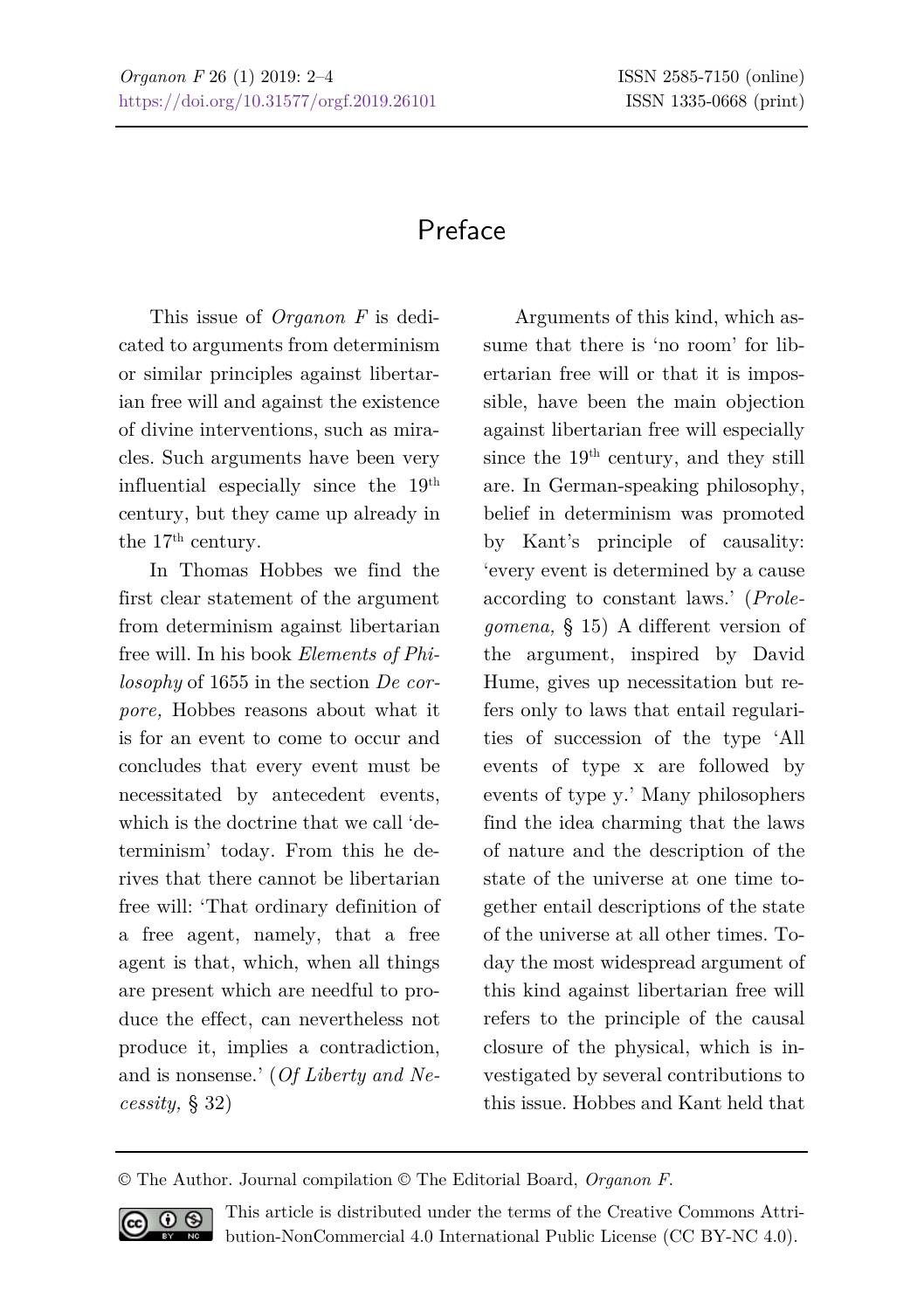## Preface

This issue of *Organon F* is dedicated to arguments from determinism or similar principles against libertarian free will and against the existence of divine interventions, such as miracles. Such arguments have been very influential especially since the 19th century, but they came up already in the 17<sup>th</sup> century.

In Thomas Hobbes we find the first clear statement of the argument from determinism against libertarian free will. In his book *Elements of Philosophy* of 1655 in the section *De corpore,* Hobbes reasons about what it is for an event to come to occur and concludes that every event must be necessitated by antecedent events, which is the doctrine that we call 'determinism' today. From this he derives that there cannot be libertarian free will: 'That ordinary definition of a free agent, namely, that a free agent is that, which, when all things are present which are needful to produce the effect, can nevertheless not produce it, implies a contradiction, and is nonsense.' (*Of Liberty and Necessity,* § 32)

Arguments of this kind, which assume that there is 'no room' for libertarian free will or that it is impossible, have been the main objection against libertarian free will especially since the 19<sup>th</sup> century, and they still are. In German-speaking philosophy, belief in determinism was promoted by Kant's principle of causality: 'every event is determined by a cause according to constant laws.' (*Prolegomena,* § 15) A different version of the argument, inspired by David Hume, gives up necessitation but refers only to laws that entail regularities of succession of the type 'All events of type x are followed by events of type y.' Many philosophers find the idea charming that the laws of nature and the description of the state of the universe at one time together entail descriptions of the state of the universe at all other times. Today the most widespread argument of this kind against libertarian free will refers to the principle of the causal closure of the physical, which is investigated by several contributions to this issue. Hobbes and Kant held that

<sup>©</sup> The Author. Journal compilation © The Editorial Board, *Organon F*.



This article is distributed under the terms of the Creative Commons Attribution-NonCommercial 4.0 International Public License (CC BY-NC 4.0).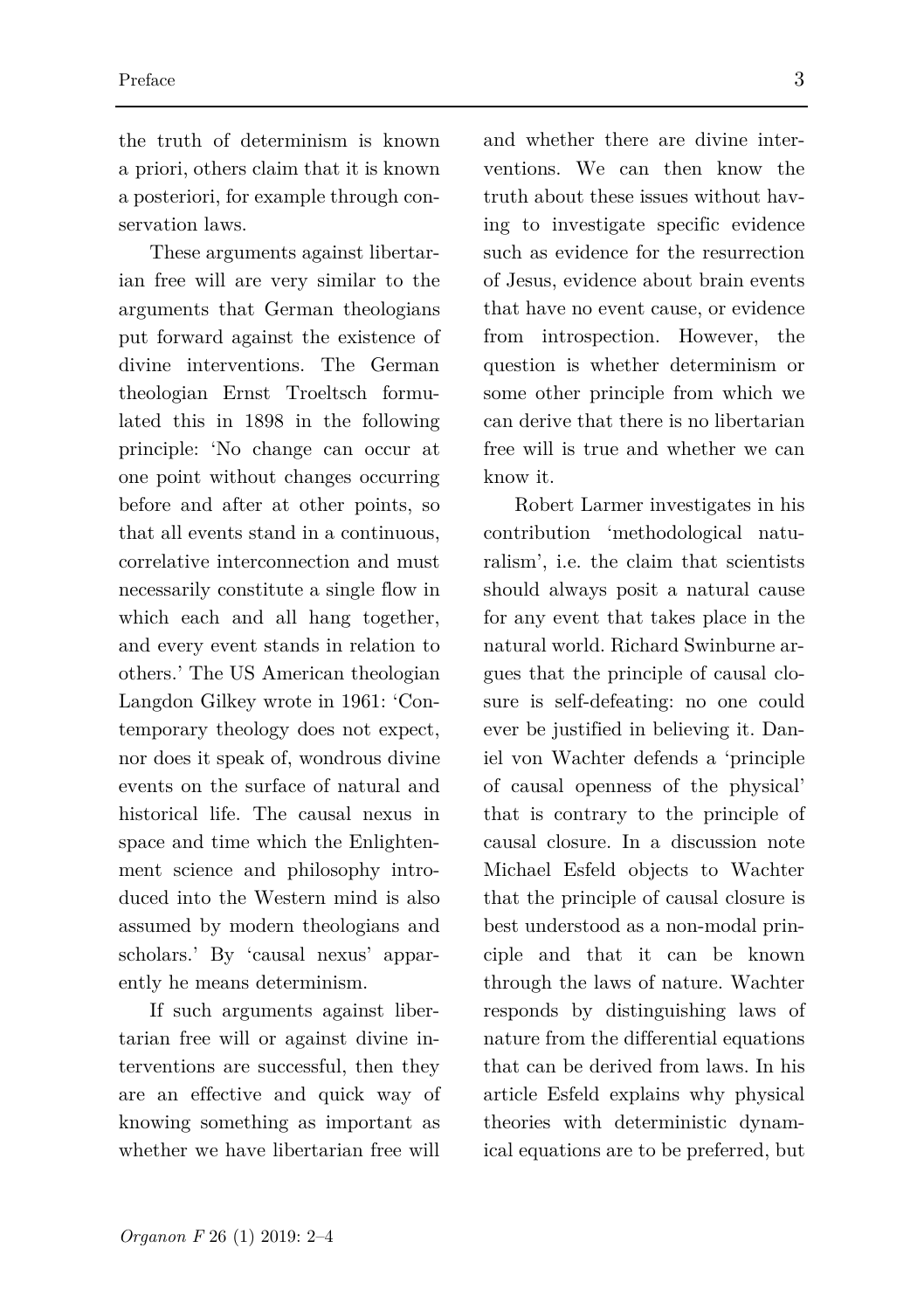the truth of determinism is known a priori, others claim that it is known a posteriori, for example through conservation laws.

These arguments against libertarian free will are very similar to the arguments that German theologians put forward against the existence of divine interventions. The German theologian Ernst Troeltsch formulated this in 1898 in the following principle: 'No change can occur at one point without changes occurring before and after at other points, so that all events stand in a continuous, correlative interconnection and must necessarily constitute a single flow in which each and all hang together, and every event stands in relation to others.' The US American theologian Langdon Gilkey wrote in 1961: 'Contemporary theology does not expect, nor does it speak of, wondrous divine events on the surface of natural and historical life. The causal nexus in space and time which the Enlightenment science and philosophy introduced into the Western mind is also assumed by modern theologians and scholars.' By 'causal nexus' apparently he means determinism.

If such arguments against libertarian free will or against divine interventions are successful, then they are an effective and quick way of knowing something as important as whether we have libertarian free will

and whether there are divine interventions. We can then know the truth about these issues without having to investigate specific evidence such as evidence for the resurrection of Jesus, evidence about brain events that have no event cause, or evidence from introspection. However, the question is whether determinism or some other principle from which we can derive that there is no libertarian free will is true and whether we can know it.

Robert Larmer investigates in his contribution 'methodological naturalism', i.e. the claim that scientists should always posit a natural cause for any event that takes place in the natural world. Richard Swinburne argues that the principle of causal closure is self-defeating: no one could ever be justified in believing it. Daniel von Wachter defends a 'principle of causal openness of the physical' that is contrary to the principle of causal closure. In a discussion note Michael Esfeld objects to Wachter that the principle of causal closure is best understood as a non-modal principle and that it can be known through the laws of nature. Wachter responds by distinguishing laws of nature from the differential equations that can be derived from laws. In his article Esfeld explains why physical theories with deterministic dynamical equations are to be preferred, but